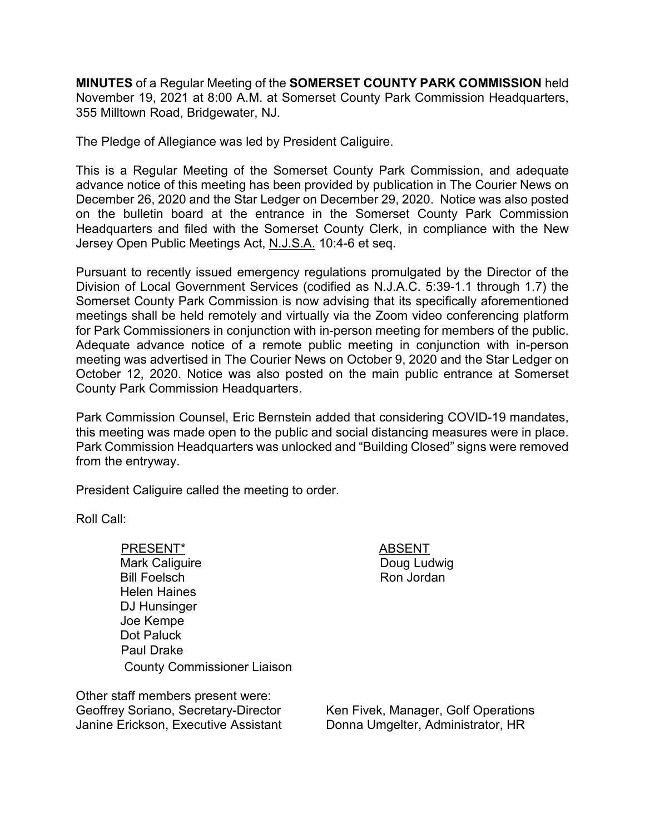**MINUTES** of a Regular Meeting of the **SOMERSET COUNTY PARK COMMISSION** held November 19, 2021 at 8:00 A.M. at Somerset County Park Commission Headquarters, 355 Milltown Road, Bridgewater, NJ.

The Pledge of Allegiance was led by President Caliguire.

This is a Regular Meeting of the Somerset County Park Commission, and adequate advance notice of this meeting has been provided by publication in The Courier News on December 26, 2020 and the Star Ledger on December 29, 2020. Notice was also posted on the bulletin board at the entrance in the Somerset County Park Commission Headquarters and filed with the Somerset County Clerk, in compliance with the New Jersey Open Public Meetings Act, N.J.S.A. 10:4-6 et seq.

Pursuant to recently issued emergency regulations promulgated by the Director of the Division of Local Government Services (codified as N.J.A.C. 5:39-1.1 through 1.7) the Somerset County Park Commission is now advising that its specifically aforementioned meetings shall be held remotely and virtually via the Zoom video conferencing platform for Park Commissioners in conjunction with in-person meeting for members of the public. Adequate advance notice of a remote public meeting in conjunction with in-person meeting was advertised in The Courier News on October 9, 2020 and the Star Ledger on October 12, 2020. Notice was also posted on the main public entrance at Somerset County Park Commission Headquarters.

Park Commission Counsel, Eric Bernstein added that considering COVID-19 mandates, this meeting was made open to the public and social distancing measures were in place. Park Commission Headquarters was unlocked and "Building Closed" signs were removed from the entryway.

President Caliguire called the meeting to order.

Roll Call:

PRESENT\* ABSENT Mark Caliguire Bill Foelsch Helen Haines DJ Hunsinger Joe Kempe Dot Paluck Paul Drake County Commissioner Liaison

Doug Ludwig Ron Jordan

Other staff members present were: Geoffrey Soriano, Secretary-Director Janine Erickson, Executive Assistant

Ken Fivek, Manager, Golf Operations Donna Umgelter, Administrator, HR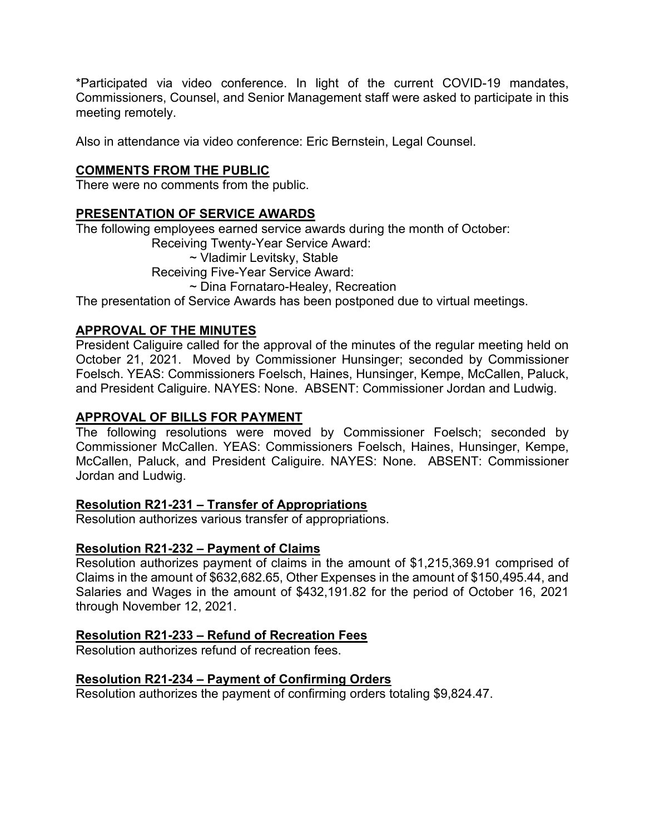\*Participated via video conference. In light of the current COVID-19 mandates, Commissioners, Counsel, and Senior Management staff were asked to participate in this meeting remotely.

Also in attendance via video conference: Eric Bernstein, Legal Counsel.

# **COMMENTS FROM THE PUBLIC**

There were no comments from the public.

# **PRESENTATION OF SERVICE AWARDS**

The following employees earned service awards during the month of October:

Receiving Twenty-Year Service Award:

~ Vladimir Levitsky, Stable

Receiving Five-Year Service Award:

~ Dina Fornataro-Healey, Recreation

The presentation of Service Awards has been postponed due to virtual meetings.

## **APPROVAL OF THE MINUTES**

President Caliguire called for the approval of the minutes of the regular meeting held on October 21, 2021. Moved by Commissioner Hunsinger; seconded by Commissioner Foelsch. YEAS: Commissioners Foelsch, Haines, Hunsinger, Kempe, McCallen, Paluck, and President Caliguire. NAYES: None. ABSENT: Commissioner Jordan and Ludwig.

# **APPROVAL OF BILLS FOR PAYMENT**

The following resolutions were moved by Commissioner Foelsch; seconded by Commissioner McCallen. YEAS: Commissioners Foelsch, Haines, Hunsinger, Kempe, McCallen, Paluck, and President Caliguire. NAYES: None. ABSENT: Commissioner Jordan and Ludwig.

### **Resolution R21-231 – Transfer of Appropriations**

Resolution authorizes various transfer of appropriations.

### **Resolution R21-232 – Payment of Claims**

Resolution authorizes payment of claims in the amount of \$1,215,369.91 comprised of Claims in the amount of \$632,682.65, Other Expenses in the amount of \$150,495.44, and Salaries and Wages in the amount of \$432,191.82 for the period of October 16, 2021 through November 12, 2021.

### **Resolution R21-233 – Refund of Recreation Fees**

Resolution authorizes refund of recreation fees.

### **Resolution R21-234 – Payment of Confirming Orders**

Resolution authorizes the payment of confirming orders totaling \$9,824.47.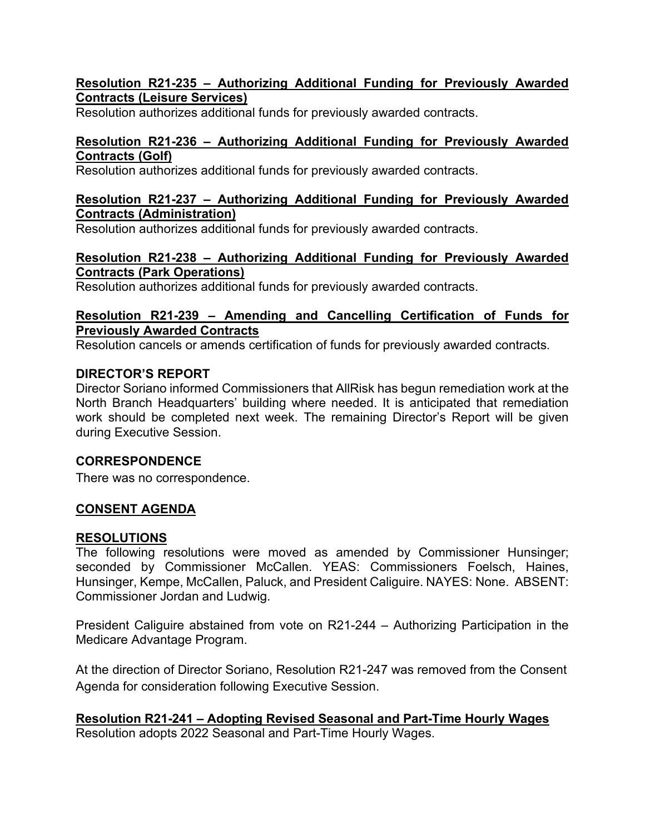## **Resolution R21-235 – Authorizing Additional Funding for Previously Awarded Contracts (Leisure Services)**

Resolution authorizes additional funds for previously awarded contracts.

## **Resolution R21-236 – Authorizing Additional Funding for Previously Awarded Contracts (Golf)**

Resolution authorizes additional funds for previously awarded contracts.

#### **Resolution R21-237 – Authorizing Additional Funding for Previously Awarded Contracts (Administration)**

Resolution authorizes additional funds for previously awarded contracts.

### **Resolution R21-238 – Authorizing Additional Funding for Previously Awarded Contracts (Park Operations)**

Resolution authorizes additional funds for previously awarded contracts.

### **Resolution R21-239 – Amending and Cancelling Certification of Funds for Previously Awarded Contracts**

Resolution cancels or amends certification of funds for previously awarded contracts.

### **DIRECTOR'S REPORT**

Director Soriano informed Commissioners that AllRisk has begun remediation work at the North Branch Headquarters' building where needed. It is anticipated that remediation work should be completed next week. The remaining Director's Report will be given during Executive Session.

### **CORRESPONDENCE**

There was no correspondence.

### **CONSENT AGENDA**

### **RESOLUTIONS**

The following resolutions were moved as amended by Commissioner Hunsinger; seconded by Commissioner McCallen. YEAS: Commissioners Foelsch, Haines, Hunsinger, Kempe, McCallen, Paluck, and President Caliguire. NAYES: None. ABSENT: Commissioner Jordan and Ludwig.

President Caliguire abstained from vote on R21-244 – Authorizing Participation in the Medicare Advantage Program.

At the direction of Director Soriano, Resolution R21-247 was removed from the Consent Agenda for consideration following Executive Session.

# **Resolution R21-241 – Adopting Revised Seasonal and Part-Time Hourly Wages**

Resolution adopts 2022 Seasonal and Part-Time Hourly Wages.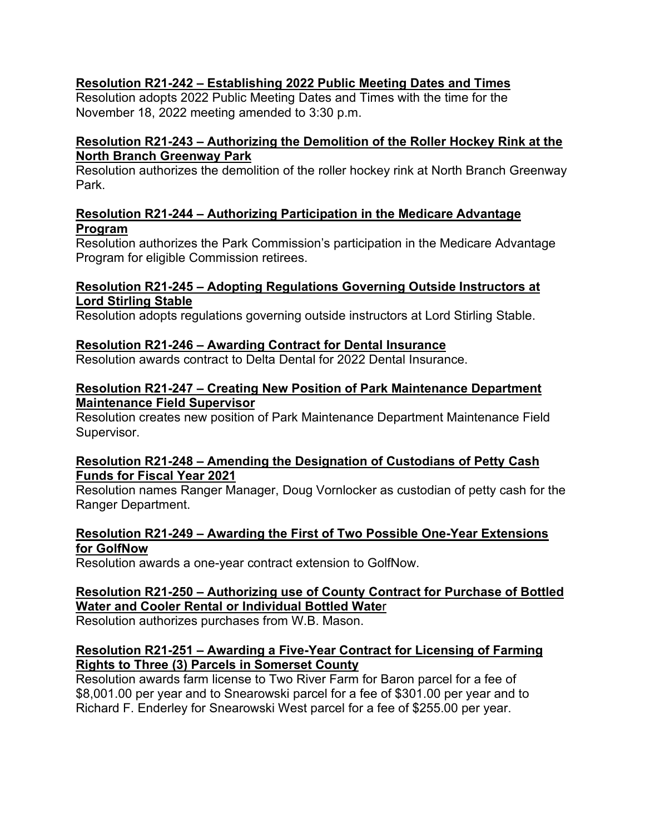# **Resolution R21-242 – Establishing 2022 Public Meeting Dates and Times**

Resolution adopts 2022 Public Meeting Dates and Times with the time for the November 18, 2022 meeting amended to 3:30 p.m.

## **Resolution R21-243 – Authorizing the Demolition of the Roller Hockey Rink at the North Branch Greenway Park**

Resolution authorizes the demolition of the roller hockey rink at North Branch Greenway Park.

### **Resolution R21-244 – Authorizing Participation in the Medicare Advantage Program**

Resolution authorizes the Park Commission's participation in the Medicare Advantage Program for eligible Commission retirees.

### **Resolution R21-245 – Adopting Regulations Governing Outside Instructors at Lord Stirling Stable**

Resolution adopts regulations governing outside instructors at Lord Stirling Stable.

# **Resolution R21-246 – Awarding Contract for Dental Insurance**

Resolution awards contract to Delta Dental for 2022 Dental Insurance.

### **Resolution R21-247 – Creating New Position of Park Maintenance Department Maintenance Field Supervisor**

Resolution creates new position of Park Maintenance Department Maintenance Field Supervisor.

### **Resolution R21-248 – Amending the Designation of Custodians of Petty Cash Funds for Fiscal Year 2021**

Resolution names Ranger Manager, Doug Vornlocker as custodian of petty cash for the Ranger Department.

## **Resolution R21-249 – Awarding the First of Two Possible One-Year Extensions for GolfNow**

Resolution awards a one-year contract extension to GolfNow.

## **Resolution R21-250 – Authorizing use of County Contract for Purchase of Bottled Water and Cooler Rental or Individual Bottled Wate**r

Resolution authorizes purchases from W.B. Mason.

## **Resolution R21-251 – Awarding a Five-Year Contract for Licensing of Farming Rights to Three (3) Parcels in Somerset County**

Resolution awards farm license to Two River Farm for Baron parcel for a fee of \$8,001.00 per year and to Snearowski parcel for a fee of \$301.00 per year and to Richard F. Enderley for Snearowski West parcel for a fee of \$255.00 per year.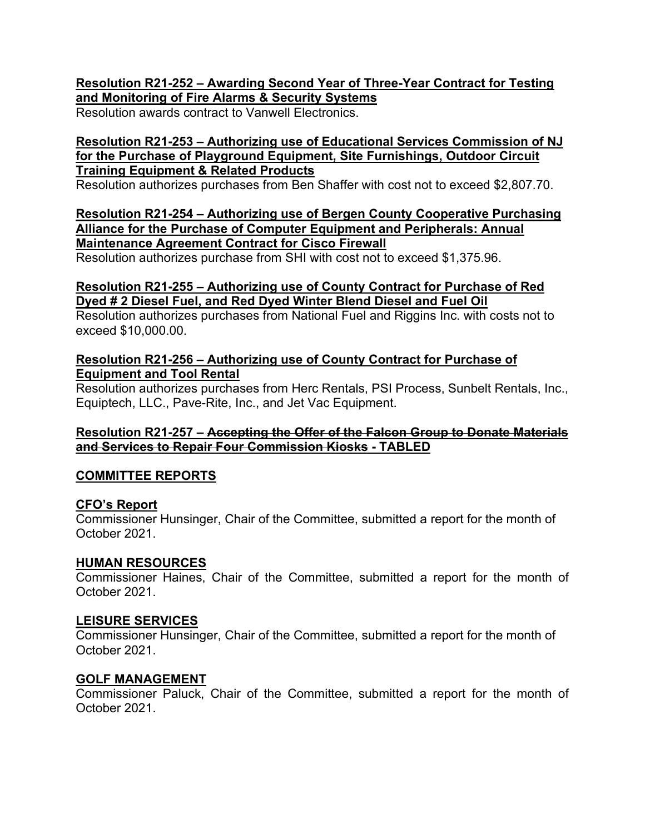## **Resolution R21-252 – Awarding Second Year of Three-Year Contract for Testing and Monitoring of Fire Alarms & Security Systems**

Resolution awards contract to Vanwell Electronics.

### **Resolution R21-253 – Authorizing use of Educational Services Commission of NJ for the Purchase of Playground Equipment, Site Furnishings, Outdoor Circuit Training Equipment & Related Products**

Resolution authorizes purchases from Ben Shaffer with cost not to exceed \$2,807.70.

**Resolution R21-254 – Authorizing use of Bergen County Cooperative Purchasing Alliance for the Purchase of Computer Equipment and Peripherals: Annual Maintenance Agreement Contract for Cisco Firewall** 

Resolution authorizes purchase from SHI with cost not to exceed \$1,375.96.

### **Resolution R21-255 – Authorizing use of County Contract for Purchase of Red Dyed # 2 Diesel Fuel, and Red Dyed Winter Blend Diesel and Fuel Oil**

Resolution authorizes purchases from National Fuel and Riggins Inc. with costs not to exceed \$10,000.00.

### **Resolution R21-256 – Authorizing use of County Contract for Purchase of Equipment and Tool Rental**

Resolution authorizes purchases from Herc Rentals, PSI Process, Sunbelt Rentals, Inc., Equiptech, LLC., Pave-Rite, Inc., and Jet Vac Equipment.

### **Resolution R21-257 – Accepting the Offer of the Falcon Group to Donate Materials and Services to Repair Four Commission Kiosks - TABLED**

### **COMMITTEE REPORTS**

### **CFO's Report**

Commissioner Hunsinger, Chair of the Committee, submitted a report for the month of October 2021.

### **HUMAN RESOURCES**

Commissioner Haines, Chair of the Committee, submitted a report for the month of October 2021.

### **LEISURE SERVICES**

Commissioner Hunsinger, Chair of the Committee, submitted a report for the month of October 2021.

#### **GOLF MANAGEMENT**

Commissioner Paluck, Chair of the Committee, submitted a report for the month of October 2021.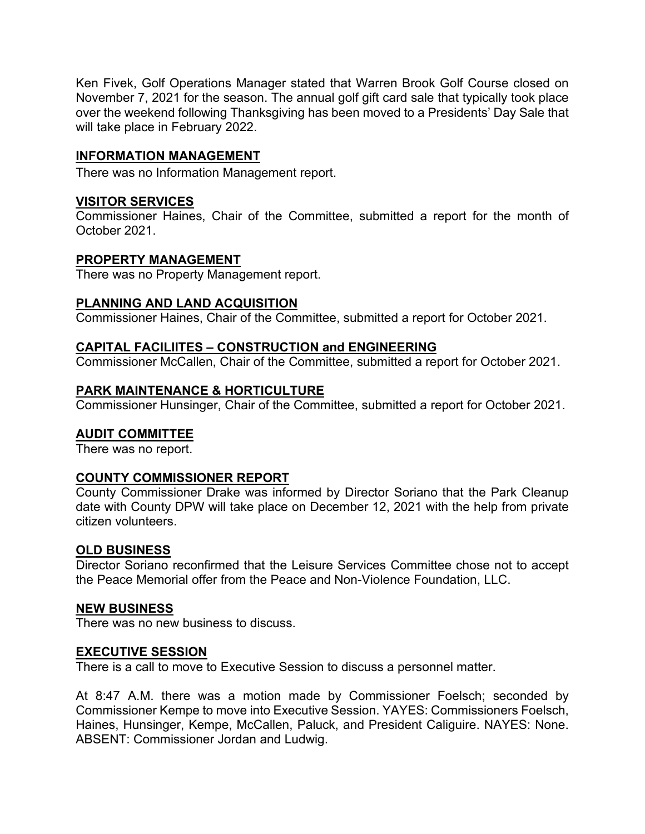Ken Fivek, Golf Operations Manager stated that Warren Brook Golf Course closed on November 7, 2021 for the season. The annual golf gift card sale that typically took place over the weekend following Thanksgiving has been moved to a Presidents' Day Sale that will take place in February 2022.

# **INFORMATION MANAGEMENT**

There was no Information Management report.

## **VISITOR SERVICES**

Commissioner Haines, Chair of the Committee, submitted a report for the month of October 2021.

### **PROPERTY MANAGEMENT**

There was no Property Management report.

### **PLANNING AND LAND ACQUISITION**

Commissioner Haines, Chair of the Committee, submitted a report for October 2021.

### **CAPITAL FACILIITES – CONSTRUCTION and ENGINEERING**

Commissioner McCallen, Chair of the Committee, submitted a report for October 2021.

### **PARK MAINTENANCE & HORTICULTURE**

Commissioner Hunsinger, Chair of the Committee, submitted a report for October 2021.

### **AUDIT COMMITTEE**

There was no report.

### **COUNTY COMMISSIONER REPORT**

County Commissioner Drake was informed by Director Soriano that the Park Cleanup date with County DPW will take place on December 12, 2021 with the help from private citizen volunteers.

### **OLD BUSINESS**

Director Soriano reconfirmed that the Leisure Services Committee chose not to accept the Peace Memorial offer from the Peace and Non-Violence Foundation, LLC.

#### **NEW BUSINESS**

There was no new business to discuss.

#### **EXECUTIVE SESSION**

There is a call to move to Executive Session to discuss a personnel matter.

At 8:47 A.M. there was a motion made by Commissioner Foelsch; seconded by Commissioner Kempe to move into Executive Session. YAYES: Commissioners Foelsch, Haines, Hunsinger, Kempe, McCallen, Paluck, and President Caliguire. NAYES: None. ABSENT: Commissioner Jordan and Ludwig.